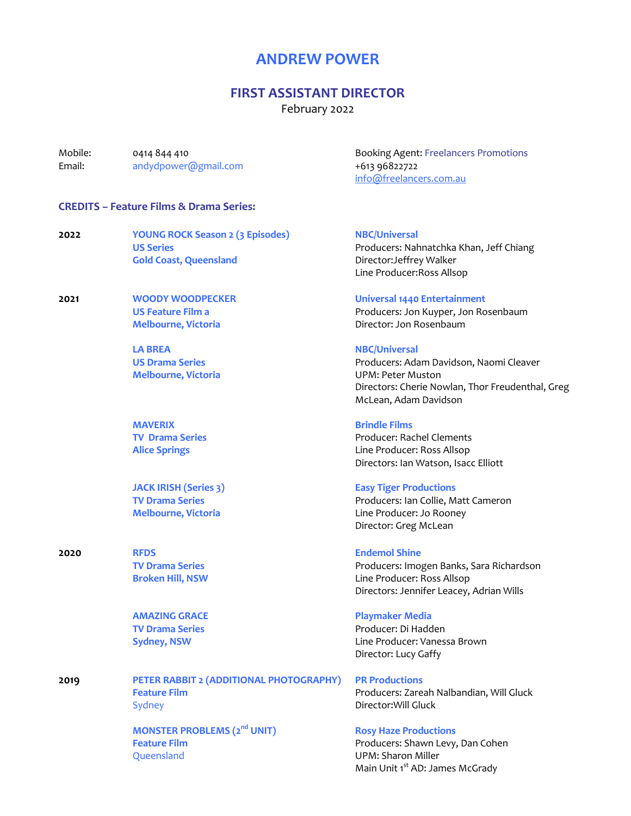# **ANDREW POWER**

# **FIRST ASSISTANT DIRECTOR**

February 2022

| Mobile:<br>Email: | 0414 844 410<br>andydpower@gmail.com                                                         | <b>Booking Agent: Freelancers Promotions</b><br>+613 96822722<br>info@freelancers.com.au                                                                                 |
|-------------------|----------------------------------------------------------------------------------------------|--------------------------------------------------------------------------------------------------------------------------------------------------------------------------|
|                   | <b>CREDITS - Feature Films &amp; Drama Series:</b>                                           |                                                                                                                                                                          |
| 2022              | <b>YOUNG ROCK Season 2 (3 Episodes)</b><br><b>US Series</b><br><b>Gold Coast, Queensland</b> | <b>NBC/Universal</b><br>Producers: Nahnatchka Khan, Jeff Chiang<br>Director: Jeffrey Walker<br>Line Producer: Ross Allsop                                                |
| 2021              | <b>WOODY WOODPECKER</b><br><b>US Feature Film a</b><br><b>Melbourne, Victoria</b>            | <b>Universal 1440 Entertainment</b><br>Producers: Jon Kuyper, Jon Rosenbaum<br>Director: Jon Rosenbaum                                                                   |
|                   | <b>LA BREA</b><br><b>US Drama Series</b><br><b>Melbourne, Victoria</b>                       | <b>NBC/Universal</b><br>Producers: Adam Davidson, Naomi Cleaver<br><b>UPM: Peter Muston</b><br>Directors: Cherie Nowlan, Thor Freudenthal, Greg<br>McLean, Adam Davidson |
|                   | <b>MAVERIX</b><br><b>TV Drama Series</b><br><b>Alice Springs</b>                             | <b>Brindle Films</b><br>Producer: Rachel Clements<br>Line Producer: Ross Allsop<br>Directors: Ian Watson, Isacc Elliott                                                  |
|                   | <b>JACK IRISH (Series 3)</b><br><b>TV Drama Series</b><br><b>Melbourne, Victoria</b>         | <b>Easy Tiger Productions</b><br>Producers: Ian Collie, Matt Cameron<br>Line Producer: Jo Rooney<br>Director: Greg McLean                                                |
| 2020              | <b>RFDS</b><br><b>TV Drama Series</b><br><b>Broken Hill, NSW</b>                             | <b>Endemol Shine</b><br>Producers: Imogen Banks, Sara Richardson<br>Line Producer: Ross Allsop<br>Directors: Jennifer Leacey, Adrian Wills                               |
|                   | <b>AMAZING GRACE</b><br><b>TV Drama Series</b><br><b>Sydney, NSW</b>                         | <b>Playmaker Media</b><br>Producer: Di Hadden<br>Line Producer: Vanessa Brown<br>Director: Lucy Gaffy                                                                    |
| 2019              | PETER RABBIT 2 (ADDITIONAL PHOTOGRAPHY)<br><b>Feature Film</b><br>Sydney                     | <b>PR Productions</b><br>Producers: Zareah Nalbandian, Will Gluck<br>Director: Will Gluck                                                                                |
|                   | <b>MONSTER PROBLEMS (2nd UNIT)</b><br><b>Feature Film</b><br>Queensland                      | <b>Rosy Haze Productions</b><br>Producers: Shawn Levy, Dan Cohen<br><b>UPM: Sharon Miller</b><br>Main Unit 1 <sup>st</sup> AD: James McGrady                             |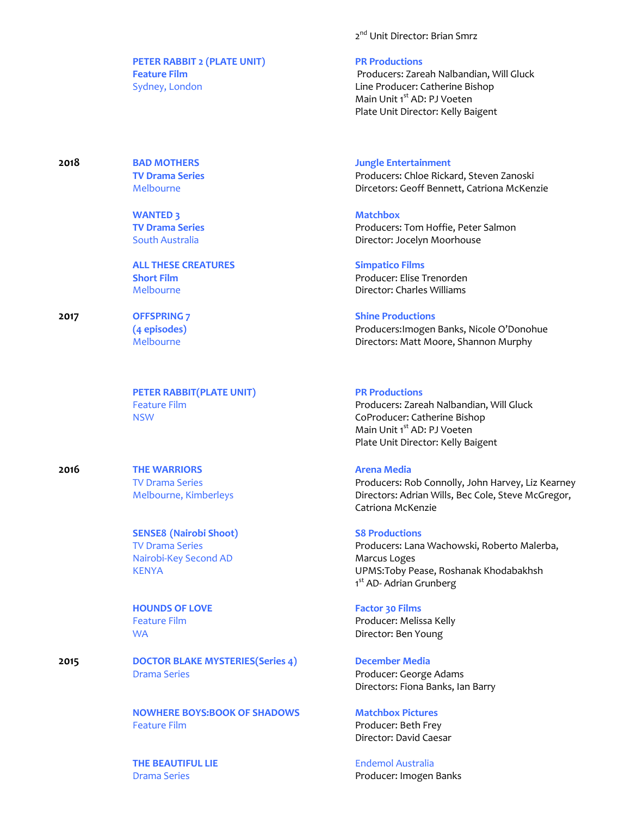**PETER RABBIT 2 (PLATE UNIT) PR Productions**

**2018 BAD MOTHERS Jungle Entertainment**

**WANTED 3**<br> **TV Drama Series**<br> **COMPOSE ASSESS** 

**ALL THESE CREATURES Simpatico Films** 

**PETER RABBIT(PLATE UNIT) PR Productions**

**2016 THE WARRIORS Arena Media**

**SENSE8 (Nairobi Shoot) S8 Productions** Nairobi-Key Second AD Marcus Loges

**HOUNDS OF LOVE Factor 30 Films**

**2015 DOCTOR BLAKE MYSTERIES(Series 4) December Media** Drama Series **Producer: George Adams** 

> **NOWHERE BOYS:BOOK OF SHADOWS Matchbox Pictures** Feature Film **Francisco Executes** Producer: Beth Frey

**THE BEAUTIFUL LIE** Endemol Australia

2<sup>nd</sup> Unit Director: Brian Smrz

**Feature Film Producers: Zareah Nalbandian, Will Gluck** Producers: Zareah Nalbandian, Will Gluck Sydney, London **Line Producer: Catherine Bishop** Main Unit 1<sup>st</sup> AD: PJ Voeten Plate Unit Director: Kelly Baigent

**TV Drama Series Producers: Chloe Rickard, Steven Zanoski** Melbourne **Directors: Geoff Bennett, Catriona McKenzie** 

Producers: Tom Hoffie, Peter Salmon South Australia **Director: Jocelyn Moorhouse** 

**Short Film** Producer: Elise Trenorden Melbourne Director: Charles Williams

## **2017 OFFSPRING 7 Shine Productions**

**(4 episodes)** Producers:Imogen Banks, Nicole O'Donohue Directors: Matt Moore, Shannon Murphy

Feature Film **Producers: Zareah Nalbandian, Will Gluck** NSW CoProducer: Catherine Bishop Main Unit 1<sup>st</sup> AD: PJ Voeten Plate Unit Director: Kelly Baigent

TV Drama Series Producers: Rob Connolly, John Harvey, Liz Kearney Melbourne, Kimberleys Directors: Adrian Wills, Bec Cole, Steve McGregor, Catriona McKenzie

TV Drama Series Producers: Lana Wachowski, Roberto Malerba, KENYA UPMS:Toby Pease, Roshanak Khodabakhsh 1<sup>st</sup> AD- Adrian Grunberg

Feature Film **Producer: Melissa Kelly** WA Director: Ben Young

Directors: Fiona Banks, Ian Barry

Director: David Caesar

Drama Series **Producer:** Imogen Banks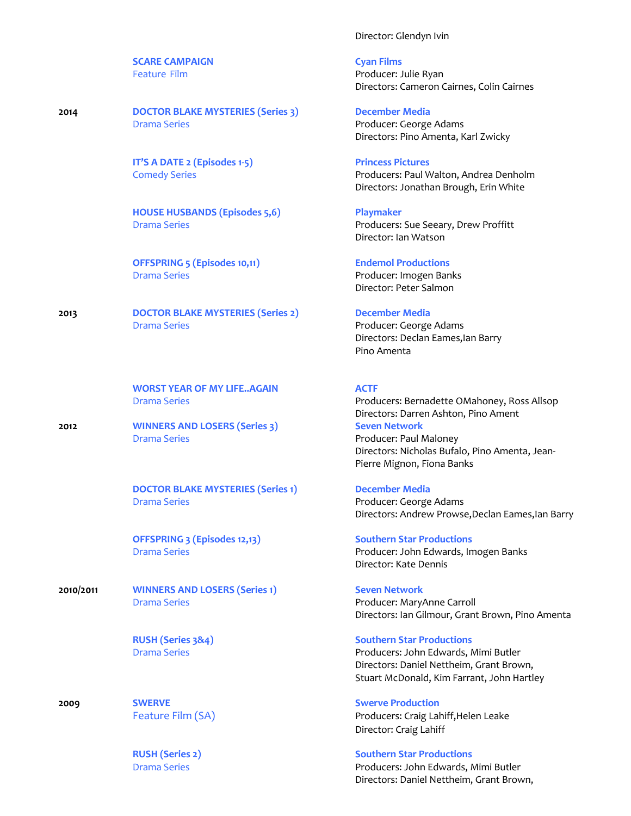**SCARE CAMPAIGN Cyan Films**

**2014 DOCTOR BLAKE MYSTERIES (Series 3) December Media** Drama Series **Producer: George Adams** 

**IT'S A DATE 2 (Episodes 1-5) Princess Pictures** 

**HOUSE HUSBANDS (Episodes 5,6) Playmaker**

**OFFSPRING 5 (Episodes 10,11) Endemol Productions** Drama Series **Producer:** Imogen Banks

**2013 DOCTOR BLAKE MYSTERIES (Series 2) December Media** Drama Series **Producer: George Adams** Producer: George Adams

**WORST YEAR OF MY LIFE..AGAIN ACTF** 

**2012 WINNERS AND LOSERS (Series 3) Seven Network**

**DOCTOR BLAKE MYSTERIES (Series 1) December Media** Drama Series **Producer: George Adams** 

**OFFSPRING 3 (Episodes 12,13) Southern Star Productions**

**2010/2011 WINNERS AND LOSERS (Series 1) Seven Network** Drama Series **Producer: MaryAnne Carroll** 

**2009 SWERVE Swerve Production**

### Director: Glendyn Ivin

Feature Film **Producer: Julie Ryan** Directors: Cameron Cairnes, Colin Cairnes

Directors: Pino Amenta, Karl Zwicky

Comedy Series Producers: Paul Walton, Andrea Denholm Directors: Jonathan Brough, Erin White

Drama Series **Producers: Sue Seeary, Drew Proffitt** Director: Ian Watson

Director: Peter Salmon

Directors: Declan Eames,Ian Barry Pino Amenta

Drama Series **Producers: Bernadette OMahoney, Ross Allsop** Producers: Bernadette OMahoney, Ross Allsop Directors: Darren Ashton, Pino Ament **Drama Series Community Community Community Producer: Paul Maloney** Directors: Nicholas Bufalo, Pino Amenta, Jean-Pierre Mignon, Fiona Banks

Directors: Andrew Prowse,Declan Eames,Ian Barry

Drama Series **Producer: John Edwards, Imogen Banks** Producer: John Edwards, Imogen Banks Director: Kate Dennis

Directors: Ian Gilmour, Grant Brown, Pino Amenta

### **RUSH (Series 3&4) Southern Star Productions**

Drama Series **Producers: John Edwards, Mimi Butler** Producers: John Edwards, Mimi Butler Directors: Daniel Nettheim, Grant Brown, Stuart McDonald, Kim Farrant, John Hartley

Feature Film (SA) **Producers: Craig Lahiff, Helen Leake** Producers: Craig Lahiff, Helen Leake Director: Craig Lahiff

**RUSH (Series 2) Southern Star Productions** Drama Series Producers: John Edwards, Mimi Butler Directors: Daniel Nettheim, Grant Brown,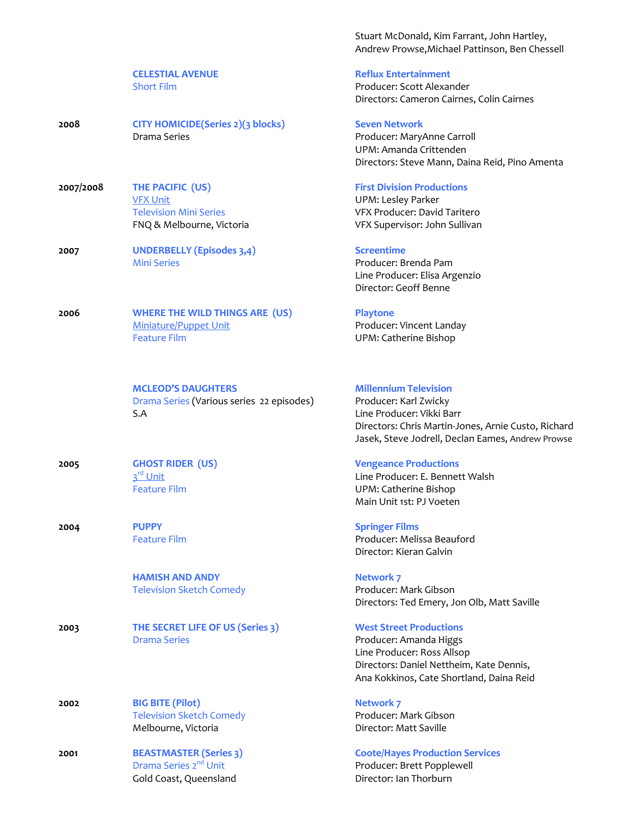|           | <b>CELESTIAL AVENUE</b><br><b>Short Film</b>                                                      | <b>Reflux Er</b><br>Producer<br>Directors                           |
|-----------|---------------------------------------------------------------------------------------------------|---------------------------------------------------------------------|
| 2008      | <b>CITY HOMICIDE(Series 2)(3 blocks)</b><br>Drama Series                                          | <b>Seven Ne</b><br>Producer<br>UPM: Am<br>Directors                 |
| 2007/2008 | THE PACIFIC (US)<br><b>VFX Unit</b><br><b>Television Mini Series</b><br>FNQ & Melbourne, Victoria | <b>First Divi</b><br>UPM: Les<br>VFX Prod<br><b>VFX Supe</b>        |
| 2007      | <b>UNDERBELLY (Episodes 3,4)</b><br><b>Mini Series</b>                                            | <b>Screentin</b><br>Producer<br>Line Prod<br>Director:              |
| 2006      | <b>WHERE THE WILD THINGS ARE (US)</b><br><b>Miniature/Puppet Unit</b><br><b>Feature Film</b>      | <b>Playtone</b><br>Producer<br>UPM: Cat                             |
|           | <b>MCLEOD'S DAUGHTERS</b><br>Drama Series (Various series 22 episodes)<br>S.A                     | <b>Millenniu</b><br>Producer<br>Line Proc<br>Directors<br>Jasek, St |
| 2005      | <b>GHOST RIDER (US)</b><br>3 <sup>rd</sup> Unit<br><b>Feature Film</b>                            | <b>Vengean</b><br>Line Prod<br>UPM: Cat<br>Main Uni                 |
| 2004      | <b>PUPPY</b><br><b>Feature Film</b>                                                               | <b>Springer</b><br>Producer<br>Director:                            |
|           | <b>HAMISH AND ANDY</b><br><b>Television Sketch Comedy</b>                                         | <b>Network</b><br>Producer<br>Directors                             |
| 2003      | THE SECRET LIFE OF US (Series 3)<br><b>Drama Series</b>                                           | <b>West Str</b><br>Producer<br>Line Proc<br>Directors<br>Ana Kokl   |
| 2002      | <b>BIG BITE (Pilot)</b><br><b>Television Sketch Comedy</b><br>Melbourne, Victoria                 | <b>Network</b><br>Producer<br>Director:                             |
| 2001      | <b>BEASTMASTER (Series 3)</b><br>Drama Series 2 <sup>nd</sup> Unit                                | <b>Coote/Ha</b><br>Producer                                         |

Stuart McDonald, Kim Farrant, John Hartley, Andrew Prowse,Michael Pattinson, Ben Chessell

### **CELESTIAL AVENUE Reflux Entertainment** Producer: Scott Alexander Directors: Cameron Cairnes, Colin Cairnes

**2008 CITY CITY** Producer: MaryAnne Carroll UPM: Amanda Crittenden Directors: Steve Mann, Daina Reid, Pino Amenta

### **First Division Productions**

**UPM: Lesley Parker** VFX Producer: David Taritero VFX Supervisor: John Sullivan

**2007 Screentime** Producer: Brenda Pam Line Producer: Elisa Argenzio Director: Geoff Benne

Producer: Vincent Landay UPM: Catherine Bishop

### **Millennium Television**

Producer: Karl Zwicky Line Producer: Vikki Barr Directors: Chris Martin-Jones, Arnie Custo, Richard Jasek, Steve Jodrell, Declan Eames, Andrew Prowse

### **Vengeance Productions**

Line Producer: E. Bennett Walsh UPM: Catherine Bishop Main Unit 1st: PJ Voeten

**2005 Springer Films** 

Producer: Melissa Beauford Director: Kieran Galvin

**Network 7** Producer: Mark Gibson Directors: Ted Emery, Jon Olb, Matt Saville

### **West Street Productions**

Producer: Amanda Higgs Line Producer: Ross Allsop Directors: Daniel Nettheim, Kate Dennis, Ana Kokkinos, Cate Shortland, Daina Reid

**Network 7** Producer: Mark Gibson Director: Matt Saville

# **2001 BEASTMASTER (Series 3) Coote/Hayes Production Services**

Producer: Brett Popplewell Gold Coast, Queensland **Director: Ian Thorburn**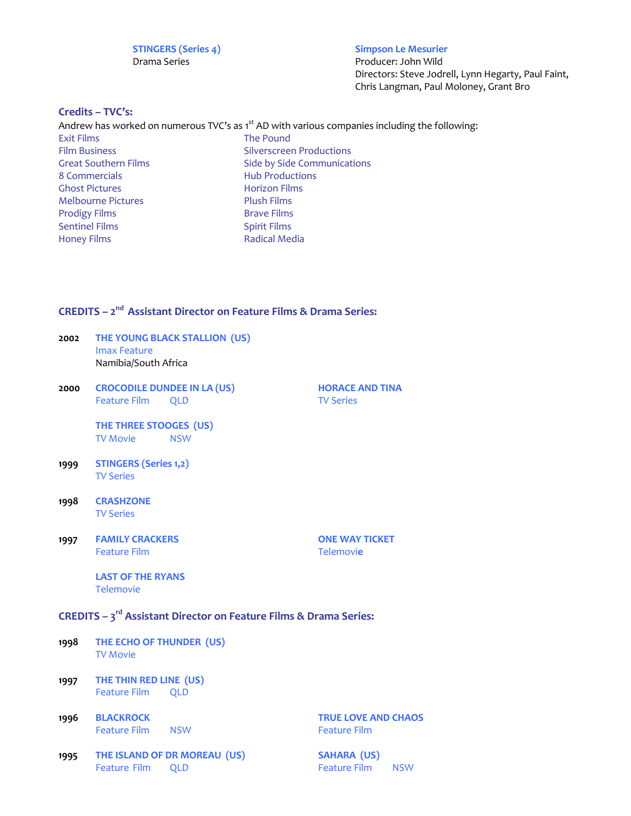**STINGERS (Series 4) Simpson Le Mesurier** Drama Series **Producer:** John Wild

Directors: Steve Jodrell, Lynn Hegarty, Paul Faint, Chris Langman, Paul Moloney, Grant Bro

### **Credits – TVC's:**

Andrew has worked on numerous TVC's as  $1<sup>st</sup>$  AD with various companies including the following: Exit Films The Pound Film Business **Silverscreen Productions** Great Southern Films<br>
8 Commercials<br>
Hub Productions<br>
Hub Productions **Hub Productions** Ghost Pictures Horizon Films Melbourne Pictures Prodigy Films Brave Films Sentinel Films<br>
Honey Films<br>
Spirit Films<br>
Radical Med Radical Media

## **CREDITS – 2nd Assistant Director on Feature Films & Drama Series:**

- **2002 THE YOUNG BLACK STALLION (US)** Imax Feature Namibia/South Africa
- **2000 CROCODILE DUNDEE IN LA (US) HORACE AND TINA** Feature Film QLD TV Series

**THE THREE STOOGES (US)** TV Movie NSW

- **1999 STINGERS (Series 1,2)** TV Series
- **1998 CRASHZONE** TV Series
- **1997 FAMILY CRACKERS ONE WAY TICKET** Feature Film Telemovi**e**

**LAST OF THE RYANS** Telemovie

## **CREDITS – 3rd Assistant Director on Feature Films & Drama Series:**

- **1998 THE ECHO OF THUNDER (US)** TV Movie
- **1997 THE THIN RED LINE (US)** Feature Film QLD
- **1996 BLACKROCK TRUE LOVE AND CHAOS** Feature Film NSW **Feature Film**
- **1995 THE ISLAND OF DR MOREAU (US) SAHARA (US)** Feature Film QLD **Feature Film** NSW